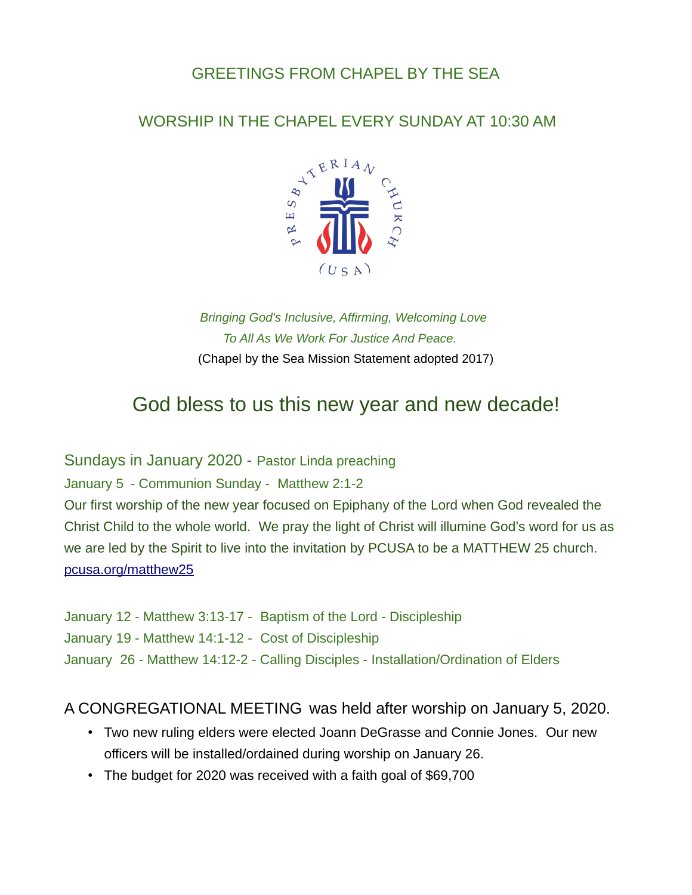## GREETINGS FROM CHAPEL BY THE SEA

### WORSHIP IN THE CHAPEL EVERY SUNDAY AT 10:30 AM



### *Bringing God's Inclusive, Affirming, Welcoming Love To All As We Work For Justice And Peace.* (Chapel by the Sea Mission Statement adopted 2017)

# God bless to us this new year and new decade!

Sundays in January 2020 - Pastor Linda preaching

January 5 - Communion Sunday - Matthew 2:1-2

Our first worship of the new year focused on Epiphany of the Lord when God revealed the Christ Child to the whole world. We pray the light of Christ will illumine God's word for us as we are led by the Spirit to live into the invitation by PCUSA to be a MATTHEW 25 church. [pcusa.org/matthew25](http://pcusa.org/matthew25)

January 12 - Matthew 3:13-17 - Baptism of the Lord - Discipleship January 19 - Matthew 14:1-12 - Cost of Discipleship January 26 - Matthew 14:12-2 - Calling Disciples - Installation/Ordination of Elders

#### A CONGREGATIONAL MEETING was held after worship on January 5, 2020.

- Two new ruling elders were elected Joann DeGrasse and Connie Jones. Our new officers will be installed/ordained during worship on January 26.
- The budget for 2020 was received with a faith goal of \$69,700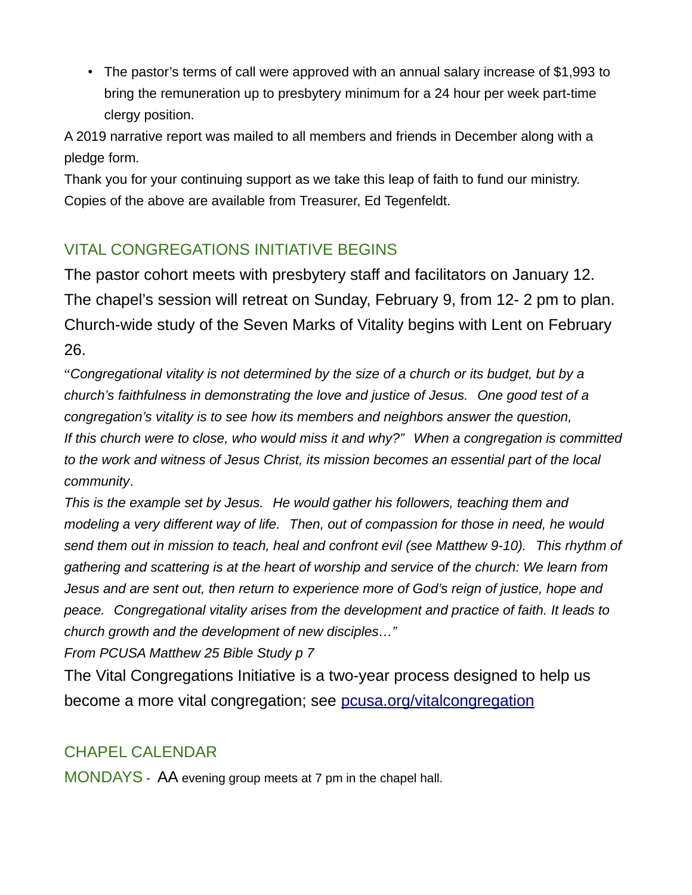• The pastor's terms of call were approved with an annual salary increase of \$1,993 to bring the remuneration up to presbytery minimum for a 24 hour per week part-time clergy position.

A 2019 narrative report was mailed to all members and friends in December along with a pledge form.

Thank you for your continuing support as we take this leap of faith to fund our ministry. Copies of the above are available from Treasurer, Ed Tegenfeldt.

## VITAL CONGREGATIONS INITIATIVE BEGINS

The pastor cohort meets with presbytery staff and facilitators on January 12. The chapel's session will retreat on Sunday, February 9, from 12- 2 pm to plan. Church-wide study of the Seven Marks of Vitality begins with Lent on February 26.

"*Congregational vitality is not determined by the size of a church or its budget, but by a church's faithfulness in demonstrating the love and justice of Jesus. One good test of a congregation's vitality is to see how its members and neighbors answer the question, If this church were to close, who would miss it and why?" When a congregation is committed to the work and witness of Jesus Christ, its mission becomes an essential part of the local community*.

*This is the example set by Jesus. He would gather his followers, teaching them and modeling a very different way of life. Then, out of compassion for those in need, he would send them out in mission to teach, heal and confront evil (see Matthew 9-10). This rhythm of gathering and scattering is at the heart of worship and service of the church: We learn from Jesus and are sent out, then return to experience more of God's reign of justice, hope and peace. Congregational vitality arises from the development and practice of faith. It leads to church growth and the development of new disciples…"*

*From PCUSA Matthew 25 Bible Study p 7*

The Vital Congregations Initiative is a two-year process designed to help us become a more vital congregation; see [pcusa.org/vitalcongregation](http://pcusa.org/vitalcongregation)

# CHAPEL CALENDAR

MONDAYS - AA evening group meets at 7 pm in the chapel hall.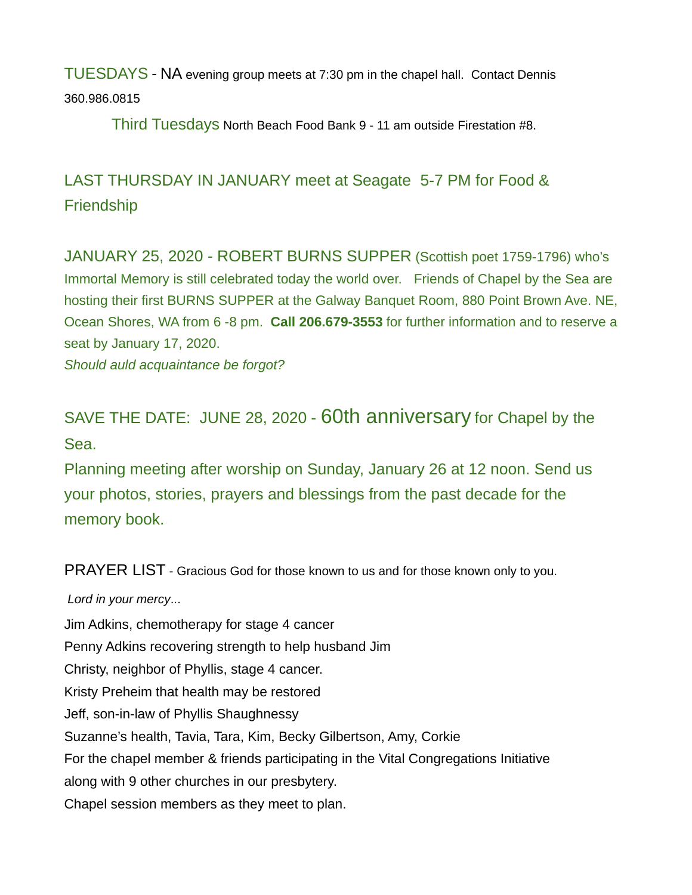TUESDAYS - NA evening group meets at 7:30 pm in the chapel hall. Contact Dennis 360.986.0815

Third Tuesdays North Beach Food Bank 9 - 11 am outside Firestation #8.

# LAST THURSDAY IN JANUARY meet at Seagate 5-7 PM for Food & **Friendship**

JANUARY 25, 2020 - ROBERT BURNS SUPPER (Scottish poet 1759-1796) who's Immortal Memory is still celebrated today the world over. Friends of Chapel by the Sea are hosting their first BURNS SUPPER at the Galway Banquet Room, 880 Point Brown Ave. NE, Ocean Shores, WA from 6 -8 pm. **Call 206.679-3553** for further information and to reserve a seat by January 17, 2020.

*Should auld acquaintance be forgot?*

# SAVE THE DATE: JUNE 28, 2020 - 60th anniversary for Chapel by the Sea.

Planning meeting after worship on Sunday, January 26 at 12 noon. Send us your photos, stories, prayers and blessings from the past decade for the memory book.

PRAYER LIST - Gracious God for those known to us and for those known only to you.

*Lord in your mercy*... Jim Adkins, chemotherapy for stage 4 cancer Penny Adkins recovering strength to help husband Jim Christy, neighbor of Phyllis, stage 4 cancer. Kristy Preheim that health may be restored Jeff, son-in-law of Phyllis Shaughnessy Suzanne's health, Tavia, Tara, Kim, Becky Gilbertson, Amy, Corkie For the chapel member & friends participating in the Vital Congregations Initiative along with 9 other churches in our presbytery. Chapel session members as they meet to plan.